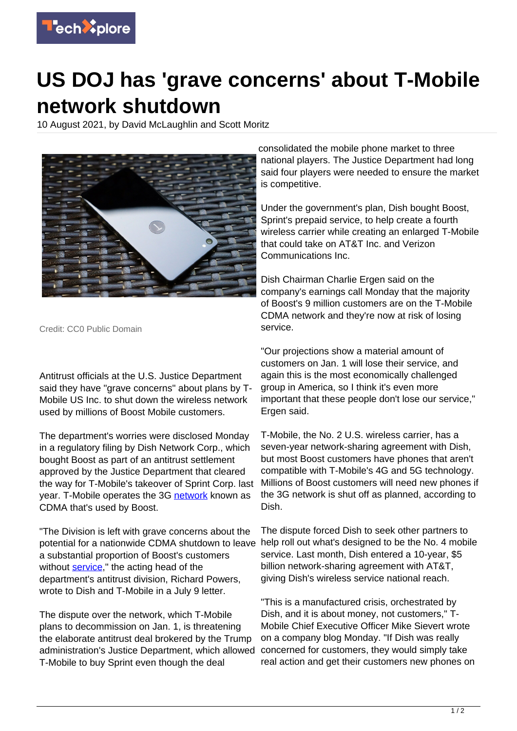

## **US DOJ has 'grave concerns' about T-Mobile network shutdown**

10 August 2021, by David McLaughlin and Scott Moritz



Credit: CC0 Public Domain

Antitrust officials at the U.S. Justice Department said they have "grave concerns" about plans by T-Mobile US Inc. to shut down the wireless network used by millions of Boost Mobile customers.

The department's worries were disclosed Monday in a regulatory filing by Dish Network Corp., which bought Boost as part of an antitrust settlement approved by the Justice Department that cleared the way for T-Mobile's takeover of Sprint Corp. last year. T-Mobile operates the 3G [network](https://techxplore.com/tags/network/) known as CDMA that's used by Boost.

"The Division is left with grave concerns about the potential for a nationwide CDMA shutdown to leave a substantial proportion of Boost's customers without [service](https://techxplore.com/tags/service/)." the acting head of the department's antitrust division, Richard Powers, wrote to Dish and T-Mobile in a July 9 letter.

The dispute over the network, which T-Mobile plans to decommission on Jan. 1, is threatening the elaborate antitrust deal brokered by the Trump administration's Justice Department, which allowed T-Mobile to buy Sprint even though the deal

consolidated the mobile phone market to three national players. The Justice Department had long said four players were needed to ensure the market is competitive.

Under the government's plan, Dish bought Boost, Sprint's prepaid service, to help create a fourth wireless carrier while creating an enlarged T-Mobile that could take on AT&T Inc. and Verizon Communications Inc.

Dish Chairman Charlie Ergen said on the company's earnings call Monday that the majority of Boost's 9 million customers are on the T-Mobile CDMA network and they're now at risk of losing service.

"Our projections show a material amount of customers on Jan. 1 will lose their service, and again this is the most economically challenged group in America, so I think it's even more important that these people don't lose our service," Ergen said.

T-Mobile, the No. 2 U.S. wireless carrier, has a seven-year network-sharing agreement with Dish, but most Boost customers have phones that aren't compatible with T-Mobile's 4G and 5G technology. Millions of Boost customers will need new phones if the 3G network is shut off as planned, according to Dish.

The dispute forced Dish to seek other partners to help roll out what's designed to be the No. 4 mobile service. Last month, Dish entered a 10-year, \$5 billion network-sharing agreement with AT&T, giving Dish's wireless service national reach.

"This is a manufactured crisis, orchestrated by Dish, and it is about money, not customers," T-Mobile Chief Executive Officer Mike Sievert wrote on a company blog Monday. "If Dish was really concerned for customers, they would simply take real action and get their customers new phones on